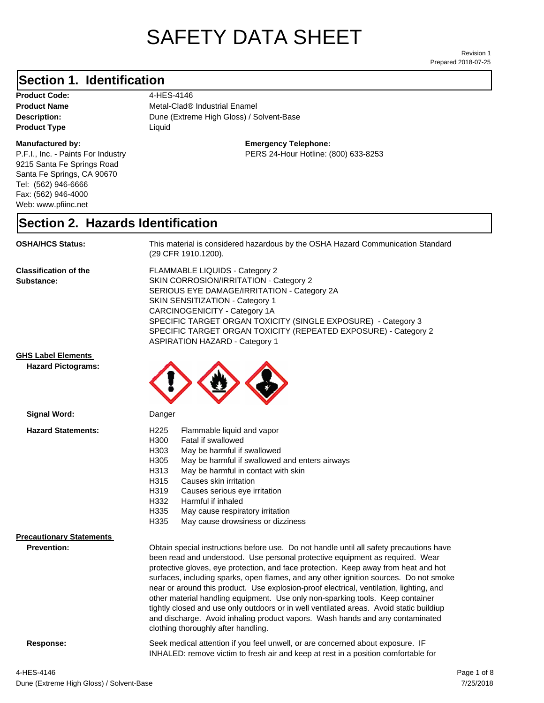# SAFETY DATA SHEET

Prepared 2018-07-25 Revision 1

### **Section 1. Identification**

Product Code: 4-HES-4146 **Product Type Liquid Liquid** 

#### **Manufactured by:**

P.F.I., Inc. - Paints For Industry 9215 Santa Fe Springs Road Santa Fe Springs, CA 90670 Tel: (562) 946-6666 Fax: (562) 946-4000 Web: www.pfiinc.net

Description: **Dune (Extreme High Gloss) / Solvent-Base Product Name** Metal-Clad<sup>®</sup> Industrial Enamel

**Emergency Telephone:**

PERS 24-Hour Hotline: (800) 633-8253

#### **Section 2. Hazards Identification**

**OSHA/HCS Status:** This material is considered hazardous by the OSHA Hazard Communication Standard (29 CFR 1910.1200).

**Classification of the Substance:**

FLAMMABLE LIQUIDS - Category 2 SKIN CORROSION/IRRITATION - Category 2 SERIOUS EYE DAMAGE/IRRITATION - Category 2A SKIN SENSITIZATION - Category 1 CARCINOGENICITY - Category 1A SPECIFIC TARGET ORGAN TOXICITY (SINGLE EXPOSURE) - Category 3 SPECIFIC TARGET ORGAN TOXICITY (REPEATED EXPOSURE) - Category 2 ASPIRATION HAZARD - Category 1

#### **GHS Label Elements**

**Signal Word:**

**Hazard Pictograms:**



| <b>Hazard Statements:</b>       | H <sub>225</sub> | Flammable liquid and vapor                                                                                                                                                                                                                                                                                                                                                                                                                                                                                                                                                                                                       |
|---------------------------------|------------------|----------------------------------------------------------------------------------------------------------------------------------------------------------------------------------------------------------------------------------------------------------------------------------------------------------------------------------------------------------------------------------------------------------------------------------------------------------------------------------------------------------------------------------------------------------------------------------------------------------------------------------|
|                                 | H300             | Fatal if swallowed                                                                                                                                                                                                                                                                                                                                                                                                                                                                                                                                                                                                               |
|                                 | H303             | May be harmful if swallowed                                                                                                                                                                                                                                                                                                                                                                                                                                                                                                                                                                                                      |
|                                 | H305             | May be harmful if swallowed and enters airways                                                                                                                                                                                                                                                                                                                                                                                                                                                                                                                                                                                   |
|                                 | H313             | May be harmful in contact with skin                                                                                                                                                                                                                                                                                                                                                                                                                                                                                                                                                                                              |
|                                 | H315             | Causes skin irritation                                                                                                                                                                                                                                                                                                                                                                                                                                                                                                                                                                                                           |
|                                 | H319             | Causes serious eye irritation                                                                                                                                                                                                                                                                                                                                                                                                                                                                                                                                                                                                    |
|                                 | H332             | Harmful if inhaled                                                                                                                                                                                                                                                                                                                                                                                                                                                                                                                                                                                                               |
|                                 | H335             | May cause respiratory irritation                                                                                                                                                                                                                                                                                                                                                                                                                                                                                                                                                                                                 |
|                                 | H335             | May cause drowsiness or dizziness                                                                                                                                                                                                                                                                                                                                                                                                                                                                                                                                                                                                |
| <b>Precautionary Statements</b> |                  |                                                                                                                                                                                                                                                                                                                                                                                                                                                                                                                                                                                                                                  |
| <b>Prevention:</b>              |                  | Obtain special instructions before use. Do not handle until all safety precautions have<br>been read and understood. Use personal protective equipment as required. Wear<br>protective gloves, eye protection, and face protection. Keep away from heat and hot<br>surfaces, including sparks, open flames, and any other ignition sources. Do not smoke<br>near or around this product. Use explosion-proof electrical, ventilation, lighting, and<br>other material handling equipment. Use only non-sparking tools. Keep container<br>tightly closed and use only outdoors or in well ventilated areas. Avoid static buildiup |

clothing thoroughly after handling.

**Response:** Seek medical attention if you feel unwell, or are concerned about exposure. IF INHALED: remove victim to fresh air and keep at rest in a position comfortable for

and discharge. Avoid inhaling product vapors. Wash hands and any contaminated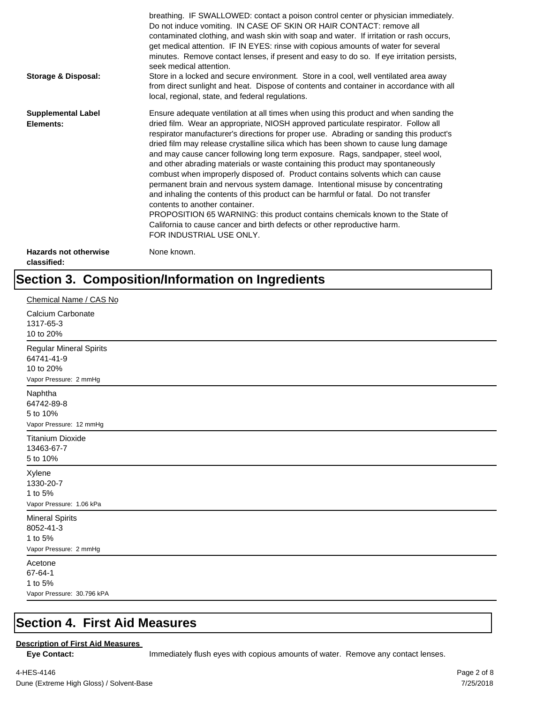| Storage & Disposal:                         | breathing. IF SWALLOWED: contact a poison control center or physician immediately.<br>Do not induce vomiting. IN CASE OF SKIN OR HAIR CONTACT: remove all<br>contaminated clothing, and wash skin with soap and water. If irritation or rash occurs,<br>get medical attention. IF IN EYES: rinse with copious amounts of water for several<br>minutes. Remove contact lenses, if present and easy to do so. If eye irritation persists,<br>seek medical attention.<br>Store in a locked and secure environment. Store in a cool, well ventilated area away<br>from direct sunlight and heat. Dispose of contents and container in accordance with all<br>local, regional, state, and federal regulations.                                                                                                                                                                                                                                                                                                                |
|---------------------------------------------|--------------------------------------------------------------------------------------------------------------------------------------------------------------------------------------------------------------------------------------------------------------------------------------------------------------------------------------------------------------------------------------------------------------------------------------------------------------------------------------------------------------------------------------------------------------------------------------------------------------------------------------------------------------------------------------------------------------------------------------------------------------------------------------------------------------------------------------------------------------------------------------------------------------------------------------------------------------------------------------------------------------------------|
| <b>Supplemental Label</b><br>Elements:      | Ensure adequate ventilation at all times when using this product and when sanding the<br>dried film. Wear an appropriate, NIOSH approved particulate respirator. Follow all<br>respirator manufacturer's directions for proper use. Abrading or sanding this product's<br>dried film may release crystalline silica which has been shown to cause lung damage<br>and may cause cancer following long term exposure. Rags, sandpaper, steel wool,<br>and other abrading materials or waste containing this product may spontaneously<br>combust when improperly disposed of. Product contains solvents which can cause<br>permanent brain and nervous system damage. Intentional misuse by concentrating<br>and inhaling the contents of this product can be harmful or fatal. Do not transfer<br>contents to another container.<br>PROPOSITION 65 WARNING: this product contains chemicals known to the State of<br>California to cause cancer and birth defects or other reproductive harm.<br>FOR INDUSTRIAL USE ONLY. |
| <b>Hazards not otherwise</b><br>classified: | None known.                                                                                                                                                                                                                                                                                                                                                                                                                                                                                                                                                                                                                                                                                                                                                                                                                                                                                                                                                                                                              |

### **Section 3. Composition/Information on Ingredients**

| Chemical Name / CAS No                                                              |
|-------------------------------------------------------------------------------------|
| Calcium Carbonate<br>1317-65-3<br>10 to 20%                                         |
| <b>Regular Mineral Spirits</b><br>64741-41-9<br>10 to 20%<br>Vapor Pressure: 2 mmHg |
| Naphtha<br>64742-89-8<br>5 to 10%<br>Vapor Pressure: 12 mmHg                        |
| <b>Titanium Dioxide</b><br>13463-67-7<br>5 to 10%                                   |
| Xylene<br>1330-20-7<br>1 to 5%<br>Vapor Pressure: 1.06 kPa                          |
| <b>Mineral Spirits</b><br>8052-41-3<br>1 to 5%<br>Vapor Pressure: 2 mmHg            |
| Acetone<br>67-64-1<br>1 to 5%<br>Vapor Pressure: 30.796 kPA                         |

#### **Section 4. First Aid Measures**

#### **Description of First Aid Measures**

Eye Contact: **IMMED** Immediately flush eyes with copious amounts of water. Remove any contact lenses.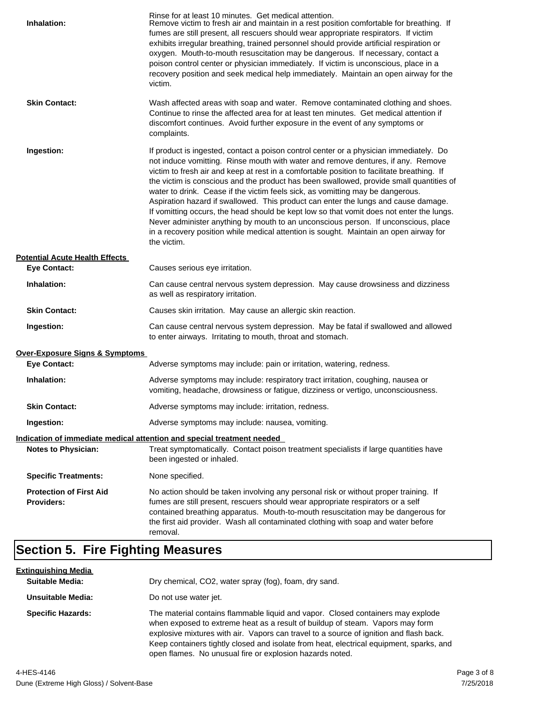| Inhalation:                                         | Rinse for at least 10 minutes. Get medical attention.<br>Remove victim to fresh air and maintain in a rest position comfortable for breathing. If<br>fumes are still present, all rescuers should wear appropriate respirators. If victim<br>exhibits irregular breathing, trained personnel should provide artificial respiration or<br>oxygen. Mouth-to-mouth resuscitation may be dangerous. If necessary, contact a<br>poison control center or physician immediately. If victim is unconscious, place in a<br>recovery position and seek medical help immediately. Maintain an open airway for the<br>victim.                                                                                                                                                                                                                    |
|-----------------------------------------------------|---------------------------------------------------------------------------------------------------------------------------------------------------------------------------------------------------------------------------------------------------------------------------------------------------------------------------------------------------------------------------------------------------------------------------------------------------------------------------------------------------------------------------------------------------------------------------------------------------------------------------------------------------------------------------------------------------------------------------------------------------------------------------------------------------------------------------------------|
| <b>Skin Contact:</b>                                | Wash affected areas with soap and water. Remove contaminated clothing and shoes.<br>Continue to rinse the affected area for at least ten minutes. Get medical attention if<br>discomfort continues. Avoid further exposure in the event of any symptoms or<br>complaints.                                                                                                                                                                                                                                                                                                                                                                                                                                                                                                                                                             |
| Ingestion:                                          | If product is ingested, contact a poison control center or a physician immediately. Do<br>not induce vomitting. Rinse mouth with water and remove dentures, if any. Remove<br>victim to fresh air and keep at rest in a comfortable position to facilitate breathing. If<br>the victim is conscious and the product has been swallowed, provide small quantities of<br>water to drink. Cease if the victim feels sick, as vomitting may be dangerous.<br>Aspiration hazard if swallowed. This product can enter the lungs and cause damage.<br>If vomitting occurs, the head should be kept low so that vomit does not enter the lungs.<br>Never administer anything by mouth to an unconscious person. If unconscious, place<br>in a recovery position while medical attention is sought. Maintain an open airway for<br>the victim. |
| <b>Potential Acute Health Effects</b>               |                                                                                                                                                                                                                                                                                                                                                                                                                                                                                                                                                                                                                                                                                                                                                                                                                                       |
| <b>Eye Contact:</b>                                 | Causes serious eye irritation.                                                                                                                                                                                                                                                                                                                                                                                                                                                                                                                                                                                                                                                                                                                                                                                                        |
| Inhalation:                                         | Can cause central nervous system depression. May cause drowsiness and dizziness<br>as well as respiratory irritation.                                                                                                                                                                                                                                                                                                                                                                                                                                                                                                                                                                                                                                                                                                                 |
| <b>Skin Contact:</b>                                | Causes skin irritation. May cause an allergic skin reaction.                                                                                                                                                                                                                                                                                                                                                                                                                                                                                                                                                                                                                                                                                                                                                                          |
| Ingestion:                                          | Can cause central nervous system depression. May be fatal if swallowed and allowed<br>to enter airways. Irritating to mouth, throat and stomach.                                                                                                                                                                                                                                                                                                                                                                                                                                                                                                                                                                                                                                                                                      |
| <b>Over-Exposure Signs &amp; Symptoms</b>           |                                                                                                                                                                                                                                                                                                                                                                                                                                                                                                                                                                                                                                                                                                                                                                                                                                       |
| <b>Eye Contact:</b>                                 | Adverse symptoms may include: pain or irritation, watering, redness.                                                                                                                                                                                                                                                                                                                                                                                                                                                                                                                                                                                                                                                                                                                                                                  |
| Inhalation:                                         | Adverse symptoms may include: respiratory tract irritation, coughing, nausea or<br>vomiting, headache, drowsiness or fatigue, dizziness or vertigo, unconsciousness.                                                                                                                                                                                                                                                                                                                                                                                                                                                                                                                                                                                                                                                                  |
| <b>Skin Contact:</b>                                | Adverse symptoms may include: irritation, redness.                                                                                                                                                                                                                                                                                                                                                                                                                                                                                                                                                                                                                                                                                                                                                                                    |
| Ingestion:                                          | Adverse symptoms may include: nausea, vomiting.                                                                                                                                                                                                                                                                                                                                                                                                                                                                                                                                                                                                                                                                                                                                                                                       |
|                                                     | Indication of immediate medical attention and special treatment needed                                                                                                                                                                                                                                                                                                                                                                                                                                                                                                                                                                                                                                                                                                                                                                |
| <b>Notes to Physician:</b>                          | Treat symptomatically. Contact poison treatment specialists if large quantities have<br>been ingested or inhaled.                                                                                                                                                                                                                                                                                                                                                                                                                                                                                                                                                                                                                                                                                                                     |
| <b>Specific Treatments:</b>                         | None specified.                                                                                                                                                                                                                                                                                                                                                                                                                                                                                                                                                                                                                                                                                                                                                                                                                       |
| <b>Protection of First Aid</b><br><b>Providers:</b> | No action should be taken involving any personal risk or without proper training. If<br>fumes are still present, rescuers should wear appropriate respirators or a self<br>contained breathing apparatus. Mouth-to-mouth resuscitation may be dangerous for<br>the first aid provider. Wash all contaminated clothing with soap and water before<br>removal.                                                                                                                                                                                                                                                                                                                                                                                                                                                                          |
|                                                     |                                                                                                                                                                                                                                                                                                                                                                                                                                                                                                                                                                                                                                                                                                                                                                                                                                       |

## **Section 5. Fire Fighting Measures**

| <u>Extinguishing Media</u> |                                                                                                                                                                                                                                                                                                                                                                                                                   |
|----------------------------|-------------------------------------------------------------------------------------------------------------------------------------------------------------------------------------------------------------------------------------------------------------------------------------------------------------------------------------------------------------------------------------------------------------------|
| <b>Suitable Media:</b>     | Dry chemical, CO2, water spray (fog), foam, dry sand.                                                                                                                                                                                                                                                                                                                                                             |
| Unsuitable Media:          | Do not use water jet.                                                                                                                                                                                                                                                                                                                                                                                             |
| <b>Specific Hazards:</b>   | The material contains flammable liquid and vapor. Closed containers may explode<br>when exposed to extreme heat as a result of buildup of steam. Vapors may form<br>explosive mixtures with air. Vapors can travel to a source of ignition and flash back.<br>Keep containers tightly closed and isolate from heat, electrical equipment, sparks, and<br>open flames. No unusual fire or explosion hazards noted. |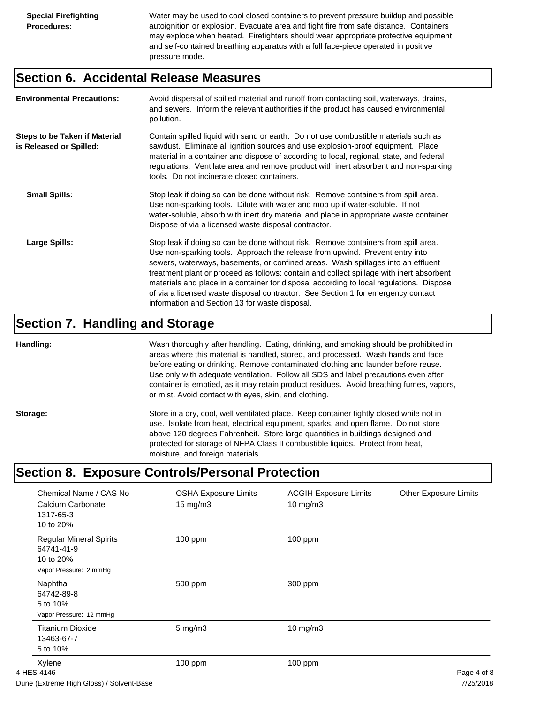Water may be used to cool closed containers to prevent pressure buildup and possible autoignition or explosion. Evacuate area and fight fire from safe distance. Containers may explode when heated. Firefighters should wear appropriate protective equipment and self-contained breathing apparatus with a full face-piece operated in positive pressure mode.

#### **Section 6. Accidental Release Measures**

| <b>Environmental Precautions:</b>                               | Avoid dispersal of spilled material and runoff from contacting soil, waterways, drains,<br>and sewers. Inform the relevant authorities if the product has caused environmental<br>pollution.                                                                                                                                                                                                                                                                                                                                                                                        |
|-----------------------------------------------------------------|-------------------------------------------------------------------------------------------------------------------------------------------------------------------------------------------------------------------------------------------------------------------------------------------------------------------------------------------------------------------------------------------------------------------------------------------------------------------------------------------------------------------------------------------------------------------------------------|
| <b>Steps to be Taken if Material</b><br>is Released or Spilled: | Contain spilled liquid with sand or earth. Do not use combustible materials such as<br>sawdust. Eliminate all ignition sources and use explosion-proof equipment. Place<br>material in a container and dispose of according to local, regional, state, and federal<br>regulations. Ventilate area and remove product with inert absorbent and non-sparking<br>tools. Do not incinerate closed containers.                                                                                                                                                                           |
| <b>Small Spills:</b>                                            | Stop leak if doing so can be done without risk. Remove containers from spill area.<br>Use non-sparking tools. Dilute with water and mop up if water-soluble. If not<br>water-soluble, absorb with inert dry material and place in appropriate waste container.<br>Dispose of via a licensed waste disposal contractor.                                                                                                                                                                                                                                                              |
| Large Spills:                                                   | Stop leak if doing so can be done without risk. Remove containers from spill area.<br>Use non-sparking tools. Approach the release from upwind. Prevent entry into<br>sewers, waterways, basements, or confined areas. Wash spillages into an effluent<br>treatment plant or proceed as follows: contain and collect spillage with inert absorbent<br>materials and place in a container for disposal according to local regulations. Dispose<br>of via a licensed waste disposal contractor. See Section 1 for emergency contact<br>information and Section 13 for waste disposal. |

#### **Section 7. Handling and Storage**

**Handling:** Wash thoroughly after handling. Eating, drinking, and smoking should be prohibited in areas where this material is handled, stored, and processed. Wash hands and face before eating or drinking. Remove contaminated clothing and launder before reuse. Use only with adequate ventilation. Follow all SDS and label precautions even after container is emptied, as it may retain product residues. Avoid breathing fumes, vapors, or mist. Avoid contact with eyes, skin, and clothing.

Storage: Store in a dry, cool, well ventilated place. Keep container tightly closed while not in use. Isolate from heat, electrical equipment, sparks, and open flame. Do not store above 120 degrees Fahrenheit. Store large quantities in buildings designed and protected for storage of NFPA Class II combustible liquids. Protect from heat, moisture, and foreign materials.

### **Section 8. Exposure Controls/Personal Protection**

| Chemical Name / CAS No<br>Calcium Carbonate<br>1317-65-3<br>10 to 20%               | <b>OSHA Exposure Limits</b><br>$15 \text{ mg/m}$ | <b>ACGIH Exposure Limits</b><br>10 mg/m3 | <b>Other Exposure Limits</b> |
|-------------------------------------------------------------------------------------|--------------------------------------------------|------------------------------------------|------------------------------|
| <b>Regular Mineral Spirits</b><br>64741-41-9<br>10 to 20%<br>Vapor Pressure: 2 mmHg | 100 ppm                                          | 100 ppm                                  |                              |
| Naphtha<br>64742-89-8<br>5 to 10%<br>Vapor Pressure: 12 mmHg                        | 500 ppm                                          | 300 ppm                                  |                              |
| <b>Titanium Dioxide</b><br>13463-67-7<br>5 to 10%                                   | $5$ mg/m $3$                                     | $10$ mg/m $3$                            |                              |
| Xylene<br>4-HES-4146<br>Duno (Extramo High Gloss) / Solvent Base                    | 100 ppm                                          | 100 ppm                                  | Page 4 of 8<br>7/25/2019     |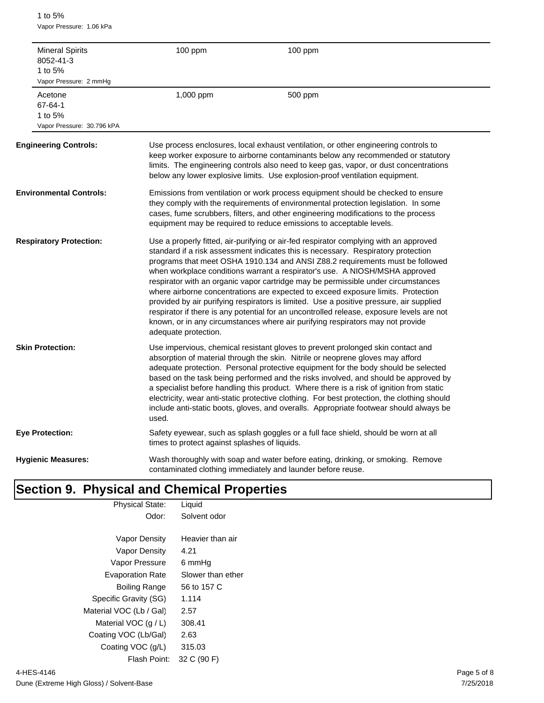1 to 5% Vapor Pressure: 1.06 kPa

| <b>Mineral Spirits</b><br>8052-41-3<br>1 to 5%<br>Vapor Pressure: 2 mmHg | 100 ppm                                       | 100 ppm                                                                                                                                                                                                                                                                                                                                                                                                                                                                                                                                                                                                                                                                                                                                                                                       |
|--------------------------------------------------------------------------|-----------------------------------------------|-----------------------------------------------------------------------------------------------------------------------------------------------------------------------------------------------------------------------------------------------------------------------------------------------------------------------------------------------------------------------------------------------------------------------------------------------------------------------------------------------------------------------------------------------------------------------------------------------------------------------------------------------------------------------------------------------------------------------------------------------------------------------------------------------|
| Acetone<br>67-64-1<br>1 to 5%<br>Vapor Pressure: 30.796 kPA              | 1,000 ppm                                     | 500 ppm                                                                                                                                                                                                                                                                                                                                                                                                                                                                                                                                                                                                                                                                                                                                                                                       |
| <b>Engineering Controls:</b>                                             |                                               | Use process enclosures, local exhaust ventilation, or other engineering controls to<br>keep worker exposure to airborne contaminants below any recommended or statutory<br>limits. The engineering controls also need to keep gas, vapor, or dust concentrations<br>below any lower explosive limits. Use explosion-proof ventilation equipment.                                                                                                                                                                                                                                                                                                                                                                                                                                              |
| <b>Environmental Controls:</b>                                           |                                               | Emissions from ventilation or work process equipment should be checked to ensure<br>they comply with the requirements of environmental protection legislation. In some<br>cases, fume scrubbers, filters, and other engineering modifications to the process<br>equipment may be required to reduce emissions to acceptable levels.                                                                                                                                                                                                                                                                                                                                                                                                                                                           |
| <b>Respiratory Protection:</b>                                           | adequate protection.                          | Use a properly fitted, air-purifying or air-fed respirator complying with an approved<br>standard if a risk assessment indicates this is necessary. Respiratory protection<br>programs that meet OSHA 1910.134 and ANSI Z88.2 requirements must be followed<br>when workplace conditions warrant a respirator's use. A NIOSH/MSHA approved<br>respirator with an organic vapor cartridge may be permissible under circumstances<br>where airborne concentrations are expected to exceed exposure limits. Protection<br>provided by air purifying respirators is limited. Use a positive pressure, air supplied<br>respirator if there is any potential for an uncontrolled release, exposure levels are not<br>known, or in any circumstances where air purifying respirators may not provide |
| <b>Skin Protection:</b>                                                  | used.                                         | Use impervious, chemical resistant gloves to prevent prolonged skin contact and<br>absorption of material through the skin. Nitrile or neoprene gloves may afford<br>adequate protection. Personal protective equipment for the body should be selected<br>based on the task being performed and the risks involved, and should be approved by<br>a specialist before handling this product. Where there is a risk of ignition from static<br>electricity, wear anti-static protective clothing. For best protection, the clothing should<br>include anti-static boots, gloves, and overalls. Appropriate footwear should always be                                                                                                                                                           |
| <b>Eye Protection:</b>                                                   | times to protect against splashes of liquids. | Safety eyewear, such as splash goggles or a full face shield, should be worn at all                                                                                                                                                                                                                                                                                                                                                                                                                                                                                                                                                                                                                                                                                                           |
| <b>Hygienic Measures:</b>                                                |                                               | Wash thoroughly with soap and water before eating, drinking, or smoking. Remove<br>contaminated clothing immediately and launder before reuse.                                                                                                                                                                                                                                                                                                                                                                                                                                                                                                                                                                                                                                                |

### **Section 9. Physical and Chemical Properties**

| <b>Physical State:</b>  | Liquid            |  |
|-------------------------|-------------------|--|
| Odor:                   | Solvent odor      |  |
|                         |                   |  |
| Vapor Density           | Heavier than air  |  |
| <b>Vapor Density</b>    | 4.21              |  |
| Vapor Pressure          | 6 mmHq            |  |
| <b>Evaporation Rate</b> | Slower than ether |  |
| Boiling Range           | 56 to 157 C       |  |
| Specific Gravity (SG)   | 1.114             |  |
| Material VOC (Lb / Gal) | 2.57              |  |
| Material VOC $(q/L)$    | 308.41            |  |
| Coating VOC (Lb/Gal)    | 2.63              |  |
| Coating VOC (g/L)       | 315.03            |  |
| Flash Point:            | 32 C (90 F)       |  |
|                         |                   |  |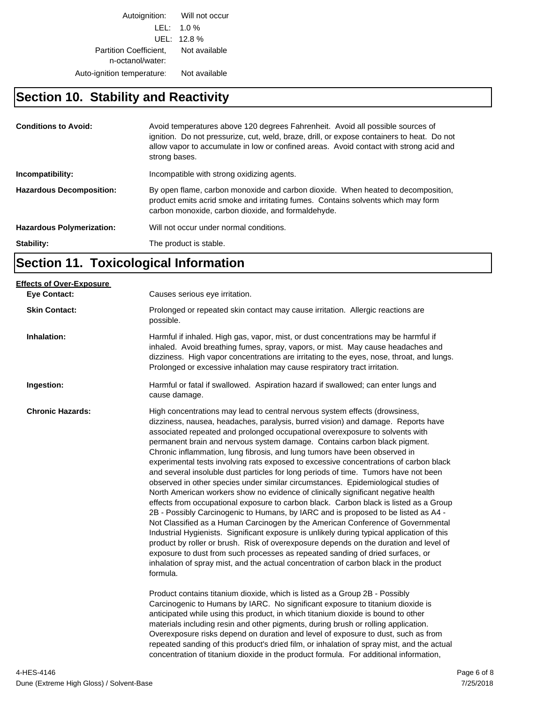Autoignition: Will not occur LEL: 1.0 % UEL: 12.8 % Partition Coefficient, Not available n-octanol/water: Auto-ignition temperature: Not available

#### **Section 10. Stability and Reactivity**

| <b>Conditions to Avoid:</b>      | Avoid temperatures above 120 degrees Fahrenheit. Avoid all possible sources of<br>ignition. Do not pressurize, cut, weld, braze, drill, or expose containers to heat. Do not<br>allow vapor to accumulate in low or confined areas. Avoid contact with strong acid and<br>strong bases. |
|----------------------------------|-----------------------------------------------------------------------------------------------------------------------------------------------------------------------------------------------------------------------------------------------------------------------------------------|
| Incompatibility:                 | Incompatible with strong oxidizing agents.                                                                                                                                                                                                                                              |
| <b>Hazardous Decomposition:</b>  | By open flame, carbon monoxide and carbon dioxide. When heated to decomposition,<br>product emits acrid smoke and irritating fumes. Contains solvents which may form<br>carbon monoxide, carbon dioxide, and formaldehyde.                                                              |
| <b>Hazardous Polymerization:</b> | Will not occur under normal conditions.                                                                                                                                                                                                                                                 |
| Stability:                       | The product is stable.                                                                                                                                                                                                                                                                  |

### **Section 11. Toxicological Information**

| <b>Eve Contact:</b>     | Causes serious eye irritation.<br>Prolonged or repeated skin contact may cause irritation. Allergic reactions are                                                                                                                                                                                                                                                                                                                                                                                                                                                                                                                                                                                                                                                                                                                                                                                                                                                                                                                                                                                                                                                                                                                                                                                                                                                                                                                                                                                                                                                                                                                                                                                                                                                                                                                                     |
|-------------------------|-------------------------------------------------------------------------------------------------------------------------------------------------------------------------------------------------------------------------------------------------------------------------------------------------------------------------------------------------------------------------------------------------------------------------------------------------------------------------------------------------------------------------------------------------------------------------------------------------------------------------------------------------------------------------------------------------------------------------------------------------------------------------------------------------------------------------------------------------------------------------------------------------------------------------------------------------------------------------------------------------------------------------------------------------------------------------------------------------------------------------------------------------------------------------------------------------------------------------------------------------------------------------------------------------------------------------------------------------------------------------------------------------------------------------------------------------------------------------------------------------------------------------------------------------------------------------------------------------------------------------------------------------------------------------------------------------------------------------------------------------------------------------------------------------------------------------------------------------------|
|                         |                                                                                                                                                                                                                                                                                                                                                                                                                                                                                                                                                                                                                                                                                                                                                                                                                                                                                                                                                                                                                                                                                                                                                                                                                                                                                                                                                                                                                                                                                                                                                                                                                                                                                                                                                                                                                                                       |
| <b>Skin Contact:</b>    | possible.                                                                                                                                                                                                                                                                                                                                                                                                                                                                                                                                                                                                                                                                                                                                                                                                                                                                                                                                                                                                                                                                                                                                                                                                                                                                                                                                                                                                                                                                                                                                                                                                                                                                                                                                                                                                                                             |
| Inhalation:             | Harmful if inhaled. High gas, vapor, mist, or dust concentrations may be harmful if<br>inhaled. Avoid breathing fumes, spray, vapors, or mist. May cause headaches and<br>dizziness. High vapor concentrations are irritating to the eyes, nose, throat, and lungs.<br>Prolonged or excessive inhalation may cause respiratory tract irritation.                                                                                                                                                                                                                                                                                                                                                                                                                                                                                                                                                                                                                                                                                                                                                                                                                                                                                                                                                                                                                                                                                                                                                                                                                                                                                                                                                                                                                                                                                                      |
| Ingestion:              | Harmful or fatal if swallowed. Aspiration hazard if swallowed; can enter lungs and<br>cause damage.                                                                                                                                                                                                                                                                                                                                                                                                                                                                                                                                                                                                                                                                                                                                                                                                                                                                                                                                                                                                                                                                                                                                                                                                                                                                                                                                                                                                                                                                                                                                                                                                                                                                                                                                                   |
| <b>Chronic Hazards:</b> | High concentrations may lead to central nervous system effects (drowsiness,<br>dizziness, nausea, headaches, paralysis, burred vision) and damage. Reports have<br>associated repeated and prolonged occupational overexposure to solvents with<br>permanent brain and nervous system damage. Contains carbon black pigment.<br>Chronic inflammation, lung fibrosis, and lung tumors have been observed in<br>experimental tests involving rats exposed to excessive concentrations of carbon black<br>and several insoluble dust particles for long periods of time. Tumors have not been<br>observed in other species under similar circumstances. Epidemiological studies of<br>North American workers show no evidence of clinically significant negative health<br>effects from occupational exposure to carbon black. Carbon black is listed as a Group<br>2B - Possibly Carcinogenic to Humans, by IARC and is proposed to be listed as A4 -<br>Not Classified as a Human Carcinogen by the American Conference of Governmental<br>Industrial Hygienists. Significant exposure is unlikely during typical application of this<br>product by roller or brush. Risk of overexposure depends on the duration and level of<br>exposure to dust from such processes as repeated sanding of dried surfaces, or<br>inhalation of spray mist, and the actual concentration of carbon black in the product<br>formula.<br>Product contains titanium dioxide, which is listed as a Group 2B - Possibly<br>Carcinogenic to Humans by IARC. No significant exposure to titanium dioxide is<br>anticipated while using this product, in which titanium dioxide is bound to other<br>materials including resin and other pigments, during brush or rolling application.<br>Overexposure risks depend on duration and level of exposure to dust, such as from |
|                         | repeated sanding of this product's dried film, or inhalation of spray mist, and the actual<br>concentration of titanium dioxide in the product formula. For additional information,                                                                                                                                                                                                                                                                                                                                                                                                                                                                                                                                                                                                                                                                                                                                                                                                                                                                                                                                                                                                                                                                                                                                                                                                                                                                                                                                                                                                                                                                                                                                                                                                                                                                   |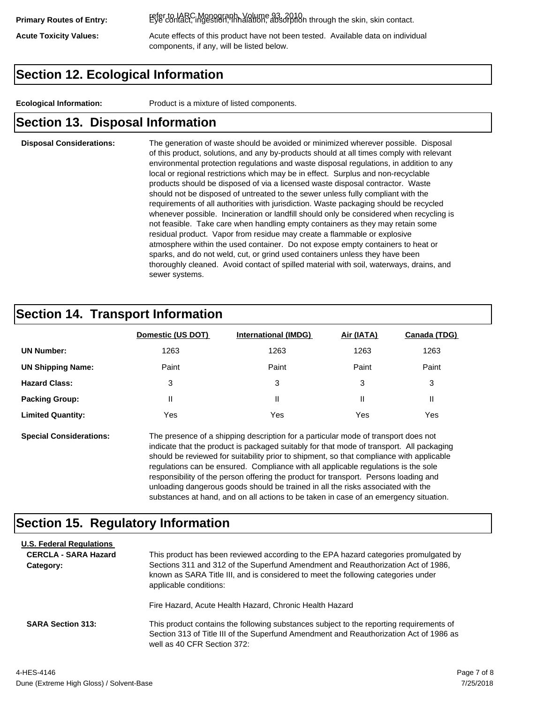refer to IARC Monograph, Volume 93, 2010. **Primary Routes of Entry:** Eye contact, ingestion, inhalation, absorption through the skin, skin contact.

Acute Toxicity Values: **Acute effects of this product have not been tested.** Available data on individual components, if any, will be listed below.

### **Section 12. Ecological Information**

**Ecological Information:** Product is a mixture of listed components.

#### **Section 13. Disposal Information**

#### **Disposal Considerations:** The generation of waste should be avoided or minimized wherever possible. Disposal of this product, solutions, and any by-products should at all times comply with relevant environmental protection regulations and waste disposal regulations, in addition to any local or regional restrictions which may be in effect. Surplus and non-recyclable products should be disposed of via a licensed waste disposal contractor. Waste should not be disposed of untreated to the sewer unless fully compliant with the requirements of all authorities with jurisdiction. Waste packaging should be recycled whenever possible. Incineration or landfill should only be considered when recycling is not feasible. Take care when handling empty containers as they may retain some residual product. Vapor from residue may create a flammable or explosive atmosphere within the used container. Do not expose empty containers to heat or sparks, and do not weld, cut, or grind used containers unless they have been thoroughly cleaned. Avoid contact of spilled material with soil, waterways, drains, and sewer systems.

#### **Section 14. Transport Information**

|                          | Domestic (US DOT) | <b>International (IMDG)</b> | Air (IATA) | Canada (TDG) |
|--------------------------|-------------------|-----------------------------|------------|--------------|
| <b>UN Number:</b>        | 1263              | 1263                        | 1263       | 1263         |
| <b>UN Shipping Name:</b> | Paint             | Paint                       | Paint      | Paint        |
| <b>Hazard Class:</b>     | 3                 | 3                           | 3          | 3            |
| <b>Packing Group:</b>    | Ш                 | Ш                           |            |              |
| <b>Limited Quantity:</b> | Yes               | Yes                         | Yes        | Yes          |

**Special Considerations:** The presence of a shipping description for a particular mode of transport does not indicate that the product is packaged suitably for that mode of transport. All packaging should be reviewed for suitability prior to shipment, so that compliance with applicable regulations can be ensured. Compliance with all applicable regulations is the sole responsibility of the person offering the product for transport. Persons loading and unloading dangerous goods should be trained in all the risks associated with the substances at hand, and on all actions to be taken in case of an emergency situation.

#### **Section 15. Regulatory Information**

| <b>U.S. Federal Regulations</b><br><b>CERCLA - SARA Hazard</b><br>Category: | This product has been reviewed according to the EPA hazard categories promulgated by<br>Sections 311 and 312 of the Superfund Amendment and Reauthorization Act of 1986,<br>known as SARA Title III, and is considered to meet the following categories under<br>applicable conditions: |
|-----------------------------------------------------------------------------|-----------------------------------------------------------------------------------------------------------------------------------------------------------------------------------------------------------------------------------------------------------------------------------------|
|                                                                             | Fire Hazard, Acute Health Hazard, Chronic Health Hazard                                                                                                                                                                                                                                 |
| <b>SARA Section 313:</b>                                                    | This product contains the following substances subject to the reporting requirements of<br>Section 313 of Title III of the Superfund Amendment and Reauthorization Act of 1986 as<br>well as 40 CFR Section 372:                                                                        |